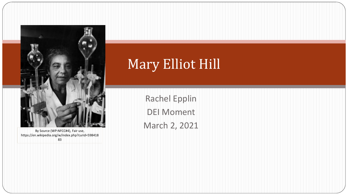

By Source (WP:NFCC#4), Fair use, https://en.wikipedia.org/w/index.php?curid=598418 83

## Mary Elliot Hill

Rachel Epplin DEI Moment March 2, 2021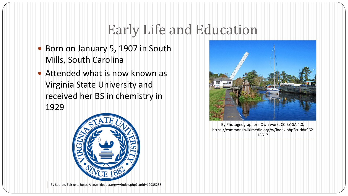# Early Life and Education

- Born on January 5, 1907 in South Mills, South Carolina
- Attended what is now known as Virginia State University and received her BS in chemistry in 1929







By Photogeographer - Own work, CC BY-SA 4.0, https://commons.wikimedia.org/w/index.php?curid=962 18617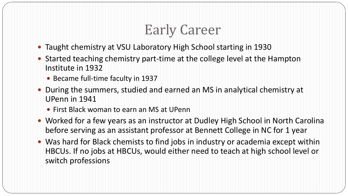# Early Career

- Taught chemistry at VSU Laboratory High School starting in 1930
- Started teaching chemistry part-time at the college level at the Hampton Institute in 1932
	- Became full-time faculty in 1937
- During the summers, studied and earned an MS in analytical chemistry at UPenn in 1941
	- First Black woman to earn an MS at UPenn
- Worked for a few years as an instructor at Dudley High School in North Carolina before serving as an assistant professor at Bennett College in NC for 1 year
- Was hard for Black chemists to find jobs in industry or academia except within HBCUs. If no jobs at HBCUs, would either need to teach at high school level or switch professions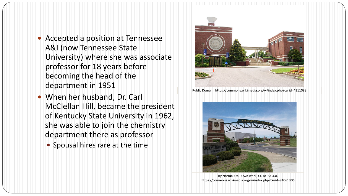- Accepted a position at Tennessee A&I (now Tennessee State University) where she was associate professor for 18 years before becoming the head of the department in 1951
- When her husband, Dr. Carl McClellan Hill, became the president of Kentucky State University in 1962, she was able to join the chemistry department there as professor
	- Spousal hires rare at the time



Public Domain, https://commons.wikimedia.org/w/index.php?curid=4111083



By Normal Op - Own work, CC BY-SA 4.0, https://commons.wikimedia.org/w/index.php?curid=91061306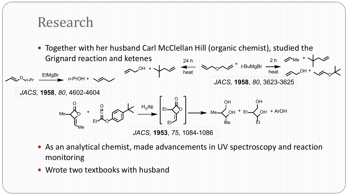### Research



- As an analytical chemist, made advancements in UV spectroscopy and reaction monitoring
- Wrote two textbooks with husband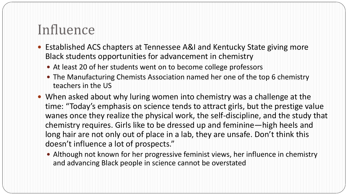## Influence

- Established ACS chapters at Tennessee A&I and Kentucky State giving more Black students opportunities for advancement in chemistry
	- At least 20 of her students went on to become college professors
	- The Manufacturing Chemists Association named her one of the top 6 chemistry teachers in the US
- When asked about why luring women into chemistry was a challenge at the time: "Today's emphasis on science tends to attract girls, but the prestige value wanes once they realize the physical work, the self-discipline, and the study that chemistry requires. Girls like to be dressed up and feminine—high heels and long hair are not only out of place in a lab, they are unsafe. Don't think this doesn't influence a lot of prospects."
	- Although not known for her progressive feminist views, her influence in chemistry and advancing Black people in science cannot be overstated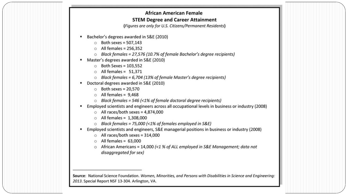#### **African American Female STEM Degree and Career Attainment**

(Figures are only for U.S. Citizens/Permanent Residents)

- Bachelor's degrees awarded in S&E (2010)
	- $\circ$  Both sexes = 507,143
	- $\circ$  All females = 256,352
	- Black females = 27,576 (10.7% of female Bachelor's degree recipients)  $\circ$
- Master's degrees awarded in S&E (2010) ٠
	- $\circ$  Both Sexes = 103,552
	- $\circ$  All females = 51,371
	- $\circ$  Black females = 6,704 (13% of female Master's degree recipients)
- Doctoral degrees awarded in S&E (2010) ٠
	- $\circ$  Both sexes = 20,570
	- $\circ$  All females = 9,468
	- Black females = 546 (<1% of female doctoral degree recipients)  $\circ$
- Employed scientists and engineers across all occupational levels in business or industry (2008) ٠
	- $\circ$  All races/both sexes = 4,874,000
	- $\circ$  All females = 1,308,000
	- $\circ$  Black females = 75,000 (<1% of females employed in S&E)
- Employed scientists and engineers, S&E managerial positions in business or industry (2008) ٠
	- $\circ$  All races/both sexes = 314,000
	- $\circ$  All females = 63,000
	- African Americans = 14,000 (<1 % of ALL employed in S&E Management; data not  $\circ$ disaggregated for sex)

Source: National Science Foundation. Women, Minorities, and Persons with Disabilities in Science and Engineering: 2013. Special Report NSF 13-304. Arlington, VA.